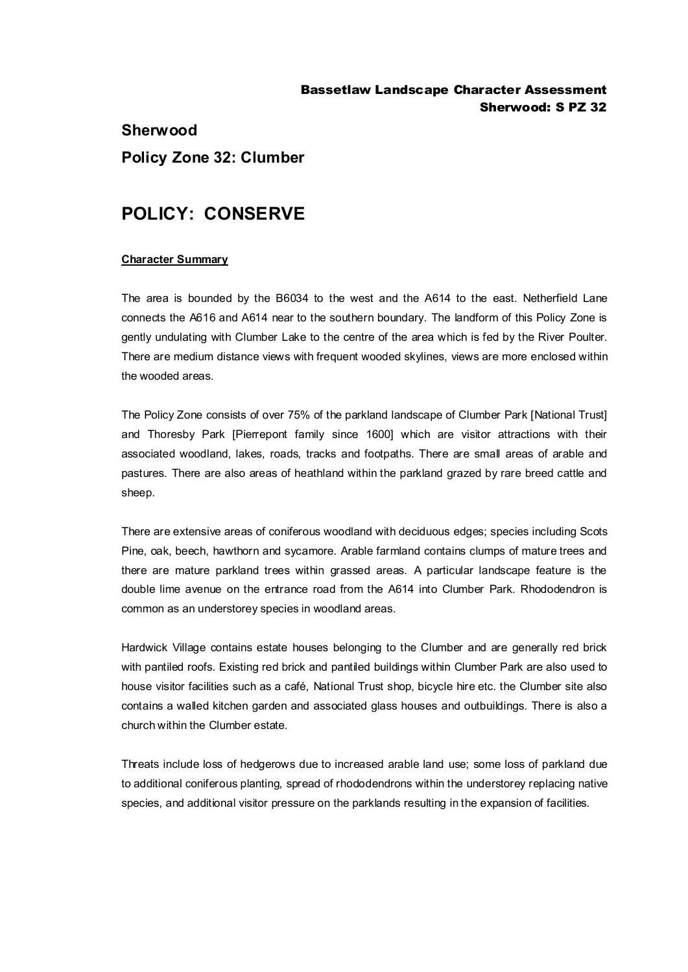## Bassetlaw Landscape Character Assessment Sherwood: S PZ 32

# **Sherwood Policy Zone 32: Clumber**

# **POLICY: CONSERVE**

### **Character Summary**

The area is bounded by the B6034 to the west and the A614 to the east. Netherfield Lane connects the A616 and A614 near to the southern boundary. The landform of this Policy Zone is gently undulating with Clumber Lake to the centre of the area which is fed by the River Poulter. There are medium distance views with frequent wooded skylines, views are more enclosed within the wooded areas.

The Policy Zone consists of over 75% of the parkland landscape of Clumber Park [National Trust] and Thoresby Park [Pierrepont family since 1600] which are visitor attractions with their associated woodland, lakes, roads, tracks and footpaths. There are small areas of arable and pastures. There are also areas of heathland within the parkland grazed by rare breed cattle and sheep.

There are extensive areas of coniferous woodland with deciduous edges; species including Scots Pine, oak, beech, hawthorn and sycamore. Arable farmland contains clumps of mature trees and there are mature parkland trees within grassed areas. A particular landscape feature is the double lime avenue on the entrance road from the A614 into Clumber Park. Rhododendron is common as an understorey species in woodland areas.

Hardwick Village contains estate houses belonging to the Clumber and are generally red brick with pantiled roofs. Existing red brick and pantiled buildings within Clumber Park are also used to house visitor facilities such as a café, National Trust shop, bicycle hire etc. the Clumber site also contains a walled kitchen garden and associated glass houses and outbuildings. There is also a church within the Clumber estate.

Threats include loss of hedgerows due to increased arable land use; some loss of parkland due to additional coniferous planting, spread of rhododendrons within the understorey replacing native species, and additional visitor pressure on the parklands resulting in the expansion of facilities.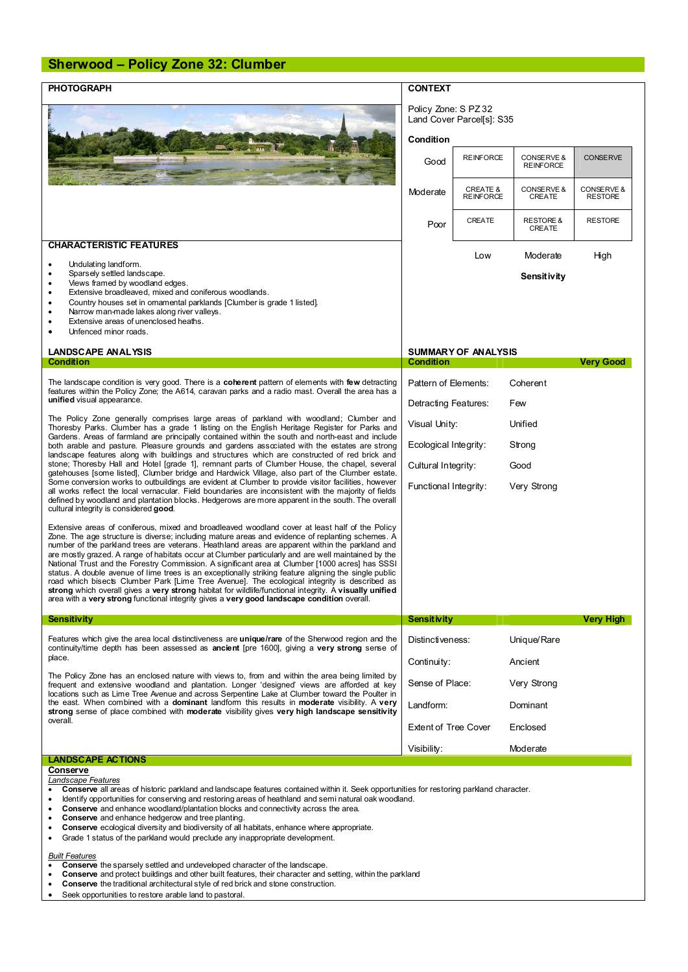## **Sherwood – Policy Zone 32: Clumber**

| <b>PHOTOGRAPH</b>                                                                                                                                                                                                                                                                                                                                                                                                                                                                                                                                                                                                                                                                                                                                                                                                                                                                                                                                                                                                                                             | <b>CONTEXT</b>                                    |                                         |                                |                                         |
|---------------------------------------------------------------------------------------------------------------------------------------------------------------------------------------------------------------------------------------------------------------------------------------------------------------------------------------------------------------------------------------------------------------------------------------------------------------------------------------------------------------------------------------------------------------------------------------------------------------------------------------------------------------------------------------------------------------------------------------------------------------------------------------------------------------------------------------------------------------------------------------------------------------------------------------------------------------------------------------------------------------------------------------------------------------|---------------------------------------------------|-----------------------------------------|--------------------------------|-----------------------------------------|
|                                                                                                                                                                                                                                                                                                                                                                                                                                                                                                                                                                                                                                                                                                                                                                                                                                                                                                                                                                                                                                                               | Policy Zone: S PZ 32<br>Land Cover Parcel[s]: S35 |                                         |                                |                                         |
|                                                                                                                                                                                                                                                                                                                                                                                                                                                                                                                                                                                                                                                                                                                                                                                                                                                                                                                                                                                                                                                               | Condition                                         |                                         |                                |                                         |
|                                                                                                                                                                                                                                                                                                                                                                                                                                                                                                                                                                                                                                                                                                                                                                                                                                                                                                                                                                                                                                                               | Good                                              | <b>REINFORCE</b>                        | CONSERVE &<br><b>REINFORCE</b> | <b>CONSERVE</b>                         |
|                                                                                                                                                                                                                                                                                                                                                                                                                                                                                                                                                                                                                                                                                                                                                                                                                                                                                                                                                                                                                                                               | Moderate                                          | <b>CREATE &amp;</b><br><b>REINFORCE</b> | CONSERVE &<br><b>CREATE</b>    | <b>CONSERVE &amp;</b><br><b>RESTORE</b> |
|                                                                                                                                                                                                                                                                                                                                                                                                                                                                                                                                                                                                                                                                                                                                                                                                                                                                                                                                                                                                                                                               | Poor                                              | CREATE                                  | <b>RESTORE &amp;</b><br>CREATE | <b>RESTORE</b>                          |
| <b>CHARACTERISTIC FEATURES</b>                                                                                                                                                                                                                                                                                                                                                                                                                                                                                                                                                                                                                                                                                                                                                                                                                                                                                                                                                                                                                                |                                                   | Low                                     | Moderate                       | High                                    |
| Undulating landform.<br>$\bullet$<br>Sparsely settled landscape.<br>$\bullet$                                                                                                                                                                                                                                                                                                                                                                                                                                                                                                                                                                                                                                                                                                                                                                                                                                                                                                                                                                                 |                                                   |                                         |                                |                                         |
| Views framed by woodland edges.<br>٠<br>Extensive broadleaved, mixed and coniferous woodlands.<br>$\bullet$<br>Country houses set in omamental parklands [Clumber is grade 1 listed].<br>$\bullet$<br>Narrow man-made lakes along river valleys.<br>٠<br>Extensive areas of unenclosed heaths.<br>Unfenced minor roads.                                                                                                                                                                                                                                                                                                                                                                                                                                                                                                                                                                                                                                                                                                                                       |                                                   |                                         | Sensitivity                    |                                         |
| <b>LANDSCAPE ANALYSIS</b>                                                                                                                                                                                                                                                                                                                                                                                                                                                                                                                                                                                                                                                                                                                                                                                                                                                                                                                                                                                                                                     | <b>SUMMARY OF ANALYSIS</b>                        |                                         |                                |                                         |
| <b>Condition</b>                                                                                                                                                                                                                                                                                                                                                                                                                                                                                                                                                                                                                                                                                                                                                                                                                                                                                                                                                                                                                                              | <b>Condition</b>                                  |                                         |                                | Very Good                               |
| The landscape condition is very good. There is a <b>coherent</b> pattern of elements with few detracting<br>features within the Policy Zone; the A614, caravan parks and a radio mast. Overall the area has a<br>unified visual appearance.                                                                                                                                                                                                                                                                                                                                                                                                                                                                                                                                                                                                                                                                                                                                                                                                                   | Pattern of Elements:                              |                                         | Coherent                       |                                         |
|                                                                                                                                                                                                                                                                                                                                                                                                                                                                                                                                                                                                                                                                                                                                                                                                                                                                                                                                                                                                                                                               | Detracting Features:                              |                                         | Few                            |                                         |
| The Policy Zone generally comprises large areas of parkland with woodland; Clumber and<br>Thoresby Parks. Clumber has a grade 1 listing on the English Heritage Register for Parks and<br>Gardens. Areas of farmland are principally contained within the south and north-east and include<br>both arable and pasture. Pleasure grounds and gardens associated with the estates are strong<br>landscape features along with buildings and structures which are constructed of red brick and<br>stone; Thoresby Hall and Hotel [grade 1], remnant parts of Clumber House, the chapel, several<br>gatehouses [some listed], Clumber bridge and Hardwick Village, also part of the Clumber estate.<br>Some conversion works to outbuildings are evident at Clumber to provide visitor facilities, however<br>all works reflect the local vernacular. Field boundaries are inconsistent with the majority of fields<br>defined by woodland and plantation blocks. Hedgerows are more apparent in the south. The overall<br>cultural integrity is considered good. | Visual Unity:                                     |                                         | Unified                        |                                         |
|                                                                                                                                                                                                                                                                                                                                                                                                                                                                                                                                                                                                                                                                                                                                                                                                                                                                                                                                                                                                                                                               | Ecological Integrity:                             |                                         | Strong                         |                                         |
|                                                                                                                                                                                                                                                                                                                                                                                                                                                                                                                                                                                                                                                                                                                                                                                                                                                                                                                                                                                                                                                               | Cultural Integrity:<br>Good                       |                                         |                                |                                         |
|                                                                                                                                                                                                                                                                                                                                                                                                                                                                                                                                                                                                                                                                                                                                                                                                                                                                                                                                                                                                                                                               | Functional Integrity:                             |                                         | Very Strong                    |                                         |
| Extensive areas of coniferous, mixed and broadleaved woodland cover at least half of the Policy<br>Zone. The age structure is diverse; including mature areas and evidence of replanting schemes. A<br>number of the parkland trees are veterans. Heathland areas are apparent within the parkland and<br>are mostly grazed. A range of habitats occur at Clumber particularly and are well maintained by the<br>National Trust and the Forestry Commission. A significant area at Clumber [1000 acres] has SSSI<br>status. A double avenue of lime trees is an exceptionally striking feature aligning the single public<br>road which bisects Clumber Park [Lime Tree Avenue]. The ecological integrity is described as<br>strong which overall gives a very strong habitat for wildlife/functional integrity. A visually unified<br>area with a very strong functional integrity gives a very good landscape condition overall.                                                                                                                            |                                                   |                                         |                                |                                         |
| <b>Sensitivity</b>                                                                                                                                                                                                                                                                                                                                                                                                                                                                                                                                                                                                                                                                                                                                                                                                                                                                                                                                                                                                                                            | <b>Sensitivity</b>                                |                                         |                                | Very High                               |
| Features which give the area local distinctiveness are unique/rare of the Sherwood region and the<br>continuity/time depth has been assessed as ancient [pre 1600], giving a very strong sense of<br>place.<br>The Policy Zone has an enclosed nature with views to, from and within the area being limited by<br>frequent and extensive woodland and plantation. Longer 'designed' views are afforded at key<br>locations such as Lime Tree Avenue and across Serpentine Lake at Clumber toward the Poulter in<br>the east. When combined with a dominant landform this results in moderate visibility. A very<br>strong sense of place combined with moderate visibility gives very high landscape sensitivity<br>overall.                                                                                                                                                                                                                                                                                                                                  | Distinctiveness:                                  |                                         | Unique/Rare                    |                                         |
|                                                                                                                                                                                                                                                                                                                                                                                                                                                                                                                                                                                                                                                                                                                                                                                                                                                                                                                                                                                                                                                               | Continuity:                                       |                                         | Ancient                        |                                         |
|                                                                                                                                                                                                                                                                                                                                                                                                                                                                                                                                                                                                                                                                                                                                                                                                                                                                                                                                                                                                                                                               | Sense of Place:                                   |                                         | Very Strong                    |                                         |
|                                                                                                                                                                                                                                                                                                                                                                                                                                                                                                                                                                                                                                                                                                                                                                                                                                                                                                                                                                                                                                                               | Landform:                                         |                                         | Dominant                       |                                         |
|                                                                                                                                                                                                                                                                                                                                                                                                                                                                                                                                                                                                                                                                                                                                                                                                                                                                                                                                                                                                                                                               | <b>Extent of Tree Cover</b>                       |                                         | Enclosed                       |                                         |
|                                                                                                                                                                                                                                                                                                                                                                                                                                                                                                                                                                                                                                                                                                                                                                                                                                                                                                                                                                                                                                                               | Visibility:                                       |                                         | Moderate                       |                                         |
| <b>LANDSCAPE ACTIONS</b><br>Conserve                                                                                                                                                                                                                                                                                                                                                                                                                                                                                                                                                                                                                                                                                                                                                                                                                                                                                                                                                                                                                          |                                                   |                                         |                                |                                         |
| Landscape Features<br>Conserve all areas of historic parkland and landscape features contained within it. Seek opportunities for restoring parkland character.<br>٠<br>Identify opportunities for conserving and restoring areas of heathland and semi natural oak woodland.<br>Conserve and enhance woodland/plantation blocks and connectivity across the area.                                                                                                                                                                                                                                                                                                                                                                                                                                                                                                                                                                                                                                                                                             |                                                   |                                         |                                |                                         |

- · **Conserve** and enhance hedgerow and tree planting.
- · **Conserve** ecological diversity and biodiversity of all habitats, enhance where appropriate.
- 
- · Grade 1 status of the parkland would preclude any inappropriate development.

- *Built Features* · **Conserve** the sparsely settled and undeveloped character of the landscape.
- · **Conserve** and protect buildings and other built features, their character and setting, within the parkland
- · **Conserve** the traditional architectural style of red brick and stone construction.
- · Seek opportunities to restore arable land to pastoral.